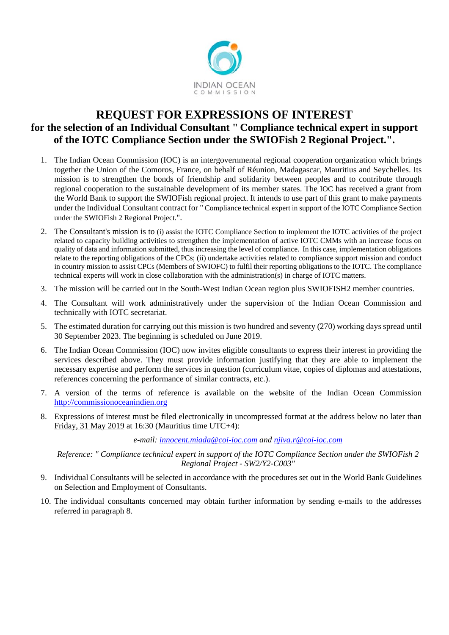

## **REQUEST FOR EXPRESSIONS OF INTEREST for the selection of an Individual Consultant " Compliance technical expert in support of the IOTC Compliance Section under the SWIOFish 2 Regional Project.".**

- 1. The Indian Ocean Commission (IOC) is an intergovernmental regional cooperation organization which brings together the Union of the Comoros, France, on behalf of Réunion, Madagascar, Mauritius and Seychelles. Its mission is to strengthen the bonds of friendship and solidarity between peoples and to contribute through regional cooperation to the sustainable development of its member states. The IOC has received a grant from the World Bank to support the SWIOFish regional project. It intends to use part of this grant to make payments under the Individual Consultant contract for " Compliance technical expert in support of the IOTC Compliance Section under the SWIOFish 2 Regional Project.".
- 2. The Consultant's mission is to (i) assist the IOTC Compliance Section to implement the IOTC activities of the project related to capacity building activities to strengthen the implementation of active IOTC CMMs with an increase focus on quality of data and information submitted, thus increasing the level of compliance. In this case, implementation obligations relate to the reporting obligations of the CPCs; (ii) undertake activities related to compliance support mission and conduct in country mission to assist CPCs (Members of SWIOFC) to fulfil their reporting obligations to the IOTC. The compliance technical experts will work in close collaboration with the administration(s) in charge of IOTC matters.
- 3. The mission will be carried out in the South-West Indian Ocean region plus SWIOFISH2 member countries.
- 4. The Consultant will work administratively under the supervision of the Indian Ocean Commission and technically with IOTC secretariat.
- 5. The estimated duration for carrying out this mission is two hundred and seventy (270) working days spread until 30 September 2023. The beginning is scheduled on June 2019.
- 6. The Indian Ocean Commission (IOC) now invites eligible consultants to express their interest in providing the services described above. They must provide information justifying that they are able to implement the necessary expertise and perform the services in question (curriculum vitae, copies of diplomas and attestations, references concerning the performance of similar contracts, etc.).
- 7. A version of the terms of reference is available on the website of the Indian Ocean Commission http://commissionoceanindien.org
- 8. Expressions of interest must be filed electronically in uncompressed format at the address below no later than Friday, 31 May 2019 at 16:30 (Mauritius time UTC+4):

*e-mail: innocent.miada@coi-ioc.com and njiva.r@coi-ioc.com*

*Reference: " Compliance technical expert in support of the IOTC Compliance Section under the SWIOFish 2 Regional Project - SW2/Y2-C003"* 

- 9. Individual Consultants will be selected in accordance with the procedures set out in the World Bank Guidelines on Selection and Employment of Consultants.
- 10. The individual consultants concerned may obtain further information by sending e-mails to the addresses referred in paragraph 8.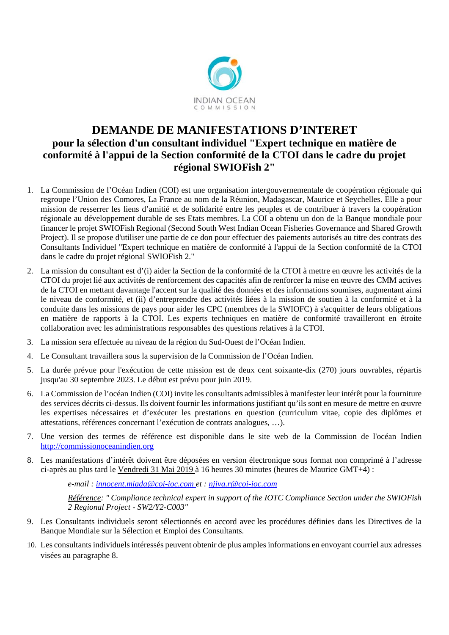

## **DEMANDE DE MANIFESTATIONS D'INTERET pour la sélection d'un consultant individuel "Expert technique en matière de conformité à l'appui de la Section conformité de la CTOI dans le cadre du projet régional SWIOFish 2"**

- 1. La Commission de l'Océan Indien (COI) est une organisation intergouvernementale de coopération régionale qui regroupe l'Union des Comores, La France au nom de la Réunion, Madagascar, Maurice et Seychelles. Elle a pour mission de resserrer les liens d'amitié et de solidarité entre les peuples et de contribuer à travers la coopération régionale au développement durable de ses Etats membres. La COI a obtenu un don de la Banque mondiale pour financer le projet SWIOFish Regional (Second South West Indian Ocean Fisheries Governance and Shared Growth Project). Il se propose d'utiliser une partie de ce don pour effectuer des paiements autorisés au titre des contrats des Consultants Individuel "Expert technique en matière de conformité à l'appui de la Section conformité de la CTOI dans le cadre du projet régional SWIOFish 2."
- 2. La mission du consultant est d'(i) aider la Section de la conformité de la CTOI à mettre en œuvre les activités de la CTOI du projet lié aux activités de renforcement des capacités afin de renforcer la mise en œuvre des CMM actives de la CTOI en mettant davantage l'accent sur la qualité des données et des informations soumises, augmentant ainsi le niveau de conformité, et (ii) d'entreprendre des activités liées à la mission de soutien à la conformité et à la conduite dans les missions de pays pour aider les CPC (membres de la SWIOFC) à s'acquitter de leurs obligations en matière de rapports à la CTOI. Les experts techniques en matière de conformité travailleront en étroite collaboration avec les administrations responsables des questions relatives à la CTOI.
- 3. La mission sera effectuée au niveau de la région du Sud-Ouest de l'Océan Indien.
- 4. Le Consultant travaillera sous la supervision de la Commission de l'Océan Indien.
- 5. La durée prévue pour l'exécution de cette mission est de deux cent soixante-dix (270) jours ouvrables, répartis jusqu'au 30 septembre 2023. Le début est prévu pour juin 2019.
- 6. La Commission de l'océan Indien (COI) invite les consultants admissibles à manifester leur intérêt pour la fourniture des services décrits ci-dessus. Ils doivent fournir les informations justifiant qu'ils sont en mesure de mettre en œuvre les expertises nécessaires et d'exécuter les prestations en question (curriculum vitae, copie des diplômes et attestations, références concernant l'exécution de contrats analogues, …).
- 7. Une version des termes de référence est disponible dans le site web de la Commission de l'océan Indien http://commissionoceanindien.org
- 8. Les manifestations d'intérêt doivent être déposées en version électronique sous format non comprimé à l'adresse ci-après au plus tard le Vendredi 31 Mai 2019 à 16 heures 30 minutes (heures de Maurice GMT+4) :

*e-mail : innocent.miada@coi-ioc.com et : njiva.r@coi-ioc.com*

*Référence: " Compliance technical expert in support of the IOTC Compliance Section under the SWIOFish 2 Regional Project - SW2/Y2-C003"* 

- 9. Les Consultants individuels seront sélectionnés en accord avec les procédures définies dans les Directives de la Banque Mondiale sur la Sélection et Emploi des Consultants.
- 10. Les consultants individuels intéressés peuvent obtenir de plus amples informations en envoyant courriel aux adresses visées au paragraphe 8.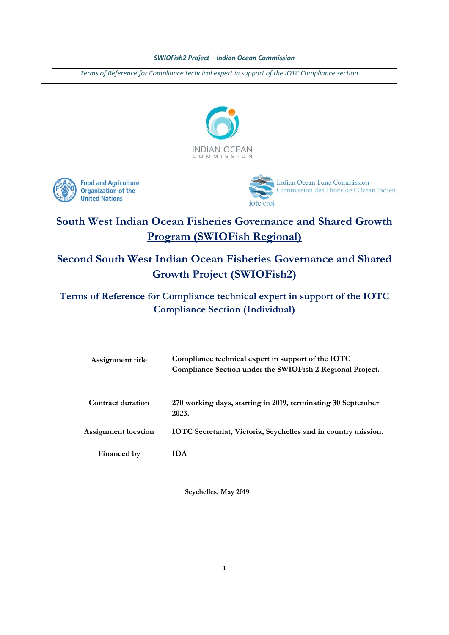*Terms of Reference for Compliance technical expert in support of the IOTC Compliance section*







# **South West Indian Ocean Fisheries Governance and Shared Growth Program (SWIOFish Regional)**

# **Second South West Indian Ocean Fisheries Governance and Shared Growth Project (SWIOFish2)**

## **Terms of Reference for Compliance technical expert in support of the IOTC Compliance Section (Individual)**

| Assignment title           | Compliance technical expert in support of the IOTC<br>Compliance Section under the SWIOFish 2 Regional Project. |
|----------------------------|-----------------------------------------------------------------------------------------------------------------|
| Contract duration          | 270 working days, starting in 2019, terminating 30 September<br>2023.                                           |
| <b>Assignment</b> location | IOTC Secretariat, Victoria, Seychelles and in country mission.                                                  |
| Financed by                | <b>IDA</b>                                                                                                      |

**Seychelles, May 2019**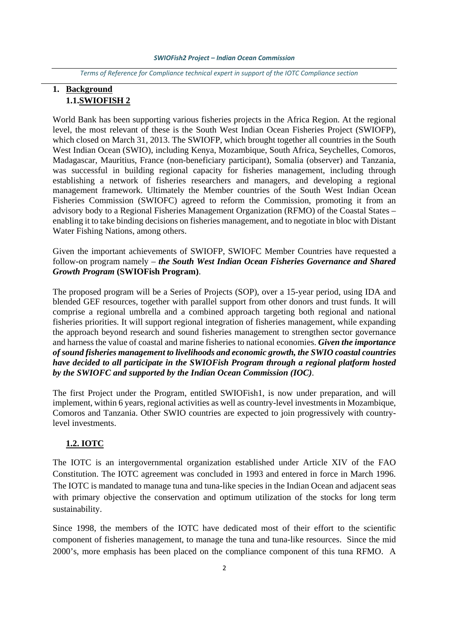*Terms of Reference for Compliance technical expert in support of the IOTC Compliance section*

## **1. Background 1.1.SWIOFISH 2**

World Bank has been supporting various fisheries projects in the Africa Region. At the regional level, the most relevant of these is the South West Indian Ocean Fisheries Project (SWIOFP), which closed on March 31, 2013. The SWIOFP, which brought together all countries in the South West Indian Ocean (SWIO), including Kenya, Mozambique, South Africa, Seychelles, Comoros, Madagascar, Mauritius, France (non-beneficiary participant), Somalia (observer) and Tanzania, was successful in building regional capacity for fisheries management, including through establishing a network of fisheries researchers and managers, and developing a regional management framework. Ultimately the Member countries of the South West Indian Ocean Fisheries Commission (SWIOFC) agreed to reform the Commission, promoting it from an advisory body to a Regional Fisheries Management Organization (RFMO) of the Coastal States – enabling it to take binding decisions on fisheries management, and to negotiate in bloc with Distant Water Fishing Nations, among others.

Given the important achievements of SWIOFP, SWIOFC Member Countries have requested a follow-on program namely – *the South West Indian Ocean Fisheries Governance and Shared Growth Program* **(SWIOFish Program)**.

The proposed program will be a Series of Projects (SOP), over a 15-year period, using IDA and blended GEF resources, together with parallel support from other donors and trust funds. It will comprise a regional umbrella and a combined approach targeting both regional and national fisheries priorities. It will support regional integration of fisheries management, while expanding the approach beyond research and sound fisheries management to strengthen sector governance and harness the value of coastal and marine fisheries to national economies. *Given the importance of sound fisheries management to livelihoods and economic growth, the SWIO coastal countries have decided to all participate in the SWIOFish Program through a regional platform hosted by the SWIOFC and supported by the Indian Ocean Commission (IOC)*.

The first Project under the Program, entitled SWIOFish1, is now under preparation, and will implement, within 6 years, regional activities as well as country-level investments in Mozambique, Comoros and Tanzania. Other SWIO countries are expected to join progressively with countrylevel investments.

### **1.2. IOTC**

The IOTC is an intergovernmental organization established under Article XIV of the FAO Constitution. The IOTC agreement was concluded in 1993 and entered in force in March 1996. The IOTC is mandated to manage tuna and tuna-like species in the Indian Ocean and adjacent seas with primary objective the conservation and optimum utilization of the stocks for long term sustainability.

Since 1998, the members of the IOTC have dedicated most of their effort to the scientific component of fisheries management, to manage the tuna and tuna-like resources. Since the mid 2000's, more emphasis has been placed on the compliance component of this tuna RFMO. A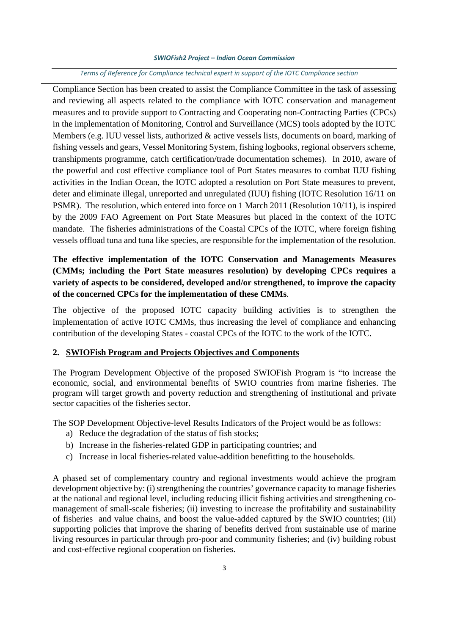#### *Terms of Reference for Compliance technical expert in support of the IOTC Compliance section*

Compliance Section has been created to assist the Compliance Committee in the task of assessing and reviewing all aspects related to the compliance with IOTC conservation and management measures and to provide support to Contracting and Cooperating non-Contracting Parties (CPCs) in the implementation of Monitoring, Control and Surveillance (MCS) tools adopted by the IOTC Members (e.g. IUU vessel lists, authorized & active vessels lists, documents on board, marking of fishing vessels and gears, Vessel Monitoring System, fishing logbooks, regional observers scheme, transhipments programme, catch certification/trade documentation schemes). In 2010, aware of the powerful and cost effective compliance tool of Port States measures to combat IUU fishing activities in the Indian Ocean, the IOTC adopted a resolution on Port State measures to prevent, deter and eliminate illegal, unreported and unregulated (IUU) fishing (IOTC Resolution 16/11 on PSMR). The resolution, which entered into force on 1 March 2011 (Resolution 10/11), is inspired by the 2009 FAO Agreement on Port State Measures but placed in the context of the IOTC mandate. The fisheries administrations of the Coastal CPCs of the IOTC, where foreign fishing vessels offload tuna and tuna like species, are responsible for the implementation of the resolution.

## **The effective implementation of the IOTC Conservation and Managements Measures (CMMs; including the Port State measures resolution) by developing CPCs requires a variety of aspects to be considered, developed and/or strengthened, to improve the capacity of the concerned CPCs for the implementation of these CMMs**.

The objective of the proposed IOTC capacity building activities is to strengthen the implementation of active IOTC CMMs, thus increasing the level of compliance and enhancing contribution of the developing States - coastal CPCs of the IOTC to the work of the IOTC.

#### **2. SWIOFish Program and Projects Objectives and Components**

The Program Development Objective of the proposed SWIOFish Program is "to increase the economic, social, and environmental benefits of SWIO countries from marine fisheries. The program will target growth and poverty reduction and strengthening of institutional and private sector capacities of the fisheries sector.

The SOP Development Objective-level Results Indicators of the Project would be as follows:

- a) Reduce the degradation of the status of fish stocks;
- b) Increase in the fisheries-related GDP in participating countries; and
- c) Increase in local fisheries-related value-addition benefitting to the households.

A phased set of complementary country and regional investments would achieve the program development objective by: (i) strengthening the countries' governance capacity to manage fisheries at the national and regional level, including reducing illicit fishing activities and strengthening comanagement of small-scale fisheries; (ii) investing to increase the profitability and sustainability of fisheries and value chains, and boost the value-added captured by the SWIO countries; (iii) supporting policies that improve the sharing of benefits derived from sustainable use of marine living resources in particular through pro-poor and community fisheries; and (iv) building robust and cost-effective regional cooperation on fisheries.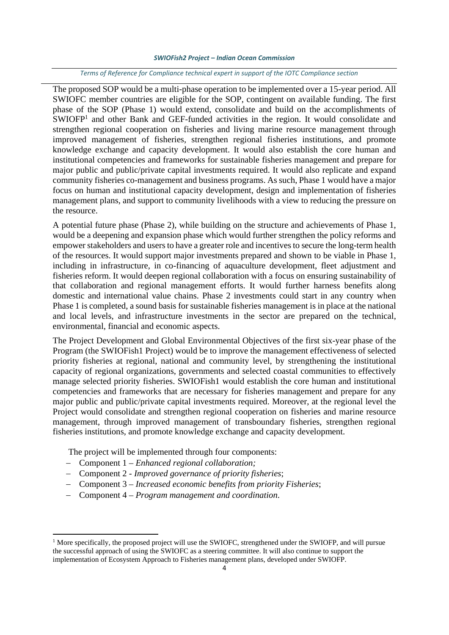#### *Terms of Reference for Compliance technical expert in support of the IOTC Compliance section*

The proposed SOP would be a multi-phase operation to be implemented over a 15-year period. All SWIOFC member countries are eligible for the SOP, contingent on available funding. The first phase of the SOP (Phase 1) would extend, consolidate and build on the accomplishments of SWIOFP<sup>1</sup> and other Bank and GEF-funded activities in the region. It would consolidate and strengthen regional cooperation on fisheries and living marine resource management through improved management of fisheries, strengthen regional fisheries institutions, and promote knowledge exchange and capacity development. It would also establish the core human and institutional competencies and frameworks for sustainable fisheries management and prepare for major public and public/private capital investments required. It would also replicate and expand community fisheries co-management and business programs. As such, Phase 1 would have a major focus on human and institutional capacity development, design and implementation of fisheries management plans, and support to community livelihoods with a view to reducing the pressure on the resource.

A potential future phase (Phase 2), while building on the structure and achievements of Phase 1, would be a deepening and expansion phase which would further strengthen the policy reforms and empower stakeholders and users to have a greater role and incentives to secure the long-term health of the resources. It would support major investments prepared and shown to be viable in Phase 1, including in infrastructure, in co-financing of aquaculture development, fleet adjustment and fisheries reform. It would deepen regional collaboration with a focus on ensuring sustainability of that collaboration and regional management efforts. It would further harness benefits along domestic and international value chains. Phase 2 investments could start in any country when Phase 1 is completed, a sound basis for sustainable fisheries management is in place at the national and local levels, and infrastructure investments in the sector are prepared on the technical, environmental, financial and economic aspects.

The Project Development and Global Environmental Objectives of the first six-year phase of the Program (the SWIOFish1 Project) would be to improve the management effectiveness of selected priority fisheries at regional, national and community level, by strengthening the institutional capacity of regional organizations, governments and selected coastal communities to effectively manage selected priority fisheries. SWIOFish1 would establish the core human and institutional competencies and frameworks that are necessary for fisheries management and prepare for any major public and public/private capital investments required. Moreover, at the regional level the Project would consolidate and strengthen regional cooperation on fisheries and marine resource management, through improved management of transboundary fisheries, strengthen regional fisheries institutions, and promote knowledge exchange and capacity development.

The project will be implemented through four components:

Component 1 – *Enhanced regional collaboration;* 

- Component 2 *Improved governance of priority fisheries*;
- Component 3 *Increased economic benefits from priority Fisheries*;
- Component 4 *Program management and coordination*.

<sup>&</sup>lt;sup>1</sup> More specifically, the proposed project will use the SWIOFC, strengthened under the SWIOFP, and will pursue the successful approach of using the SWIOFC as a steering committee. It will also continue to support the implementation of Ecosystem Approach to Fisheries management plans, developed under SWIOFP.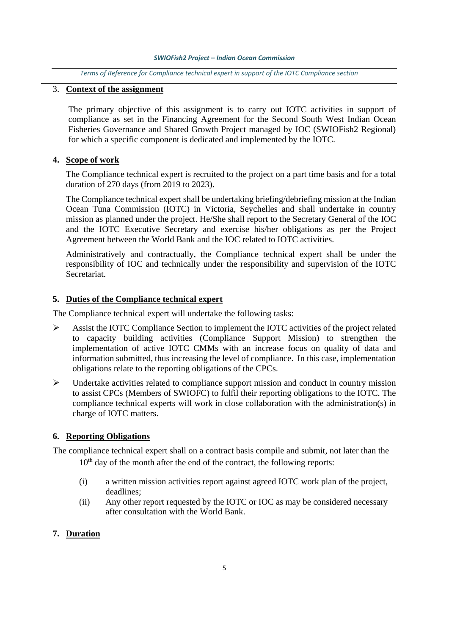#### *Terms of Reference for Compliance technical expert in support of the IOTC Compliance section*

### 3. **Context of the assignment**

The primary objective of this assignment is to carry out IOTC activities in support of compliance as set in the Financing Agreement for the Second South West Indian Ocean Fisheries Governance and Shared Growth Project managed by IOC (SWIOFish2 Regional) for which a specific component is dedicated and implemented by the IOTC.

### **4. Scope of work**

The Compliance technical expert is recruited to the project on a part time basis and for a total duration of 270 days (from 2019 to 2023).

The Compliance technical expert shall be undertaking briefing/debriefing mission at the Indian Ocean Tuna Commission (IOTC) in Victoria, Seychelles and shall undertake in country mission as planned under the project. He/She shall report to the Secretary General of the IOC and the IOTC Executive Secretary and exercise his/her obligations as per the Project Agreement between the World Bank and the IOC related to IOTC activities.

Administratively and contractually, the Compliance technical expert shall be under the responsibility of IOC and technically under the responsibility and supervision of the IOTC Secretariat.

#### **5. Duties of the Compliance technical expert**

The Compliance technical expert will undertake the following tasks:

- $\triangleright$  Assist the IOTC Compliance Section to implement the IOTC activities of the project related to capacity building activities (Compliance Support Mission) to strengthen the implementation of active IOTC CMMs with an increase focus on quality of data and information submitted, thus increasing the level of compliance. In this case, implementation obligations relate to the reporting obligations of the CPCs.
- $\triangleright$  Undertake activities related to compliance support mission and conduct in country mission to assist CPCs (Members of SWIOFC) to fulfil their reporting obligations to the IOTC. The compliance technical experts will work in close collaboration with the administration(s) in charge of IOTC matters.

#### **6. Reporting Obligations**

The compliance technical expert shall on a contract basis compile and submit, not later than the

- 10<sup>th</sup> day of the month after the end of the contract, the following reports:
- (i) a written mission activities report against agreed IOTC work plan of the project, deadlines;
- (ii) Any other report requested by the IOTC or IOC as may be considered necessary after consultation with the World Bank.

### **7. Duration**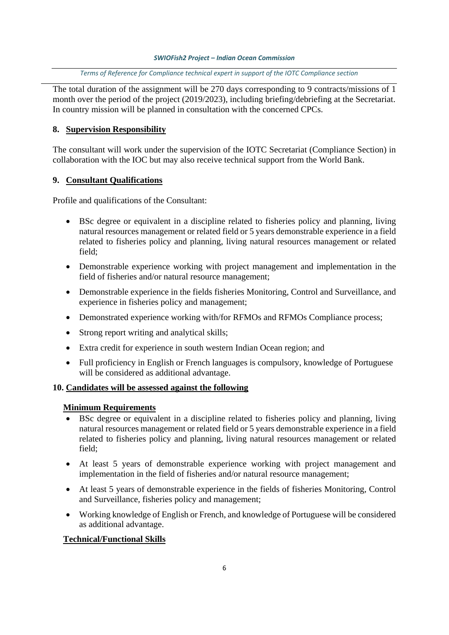*Terms of Reference for Compliance technical expert in support of the IOTC Compliance section*

The total duration of the assignment will be 270 days corresponding to 9 contracts/missions of 1 month over the period of the project (2019/2023), including briefing/debriefing at the Secretariat. In country mission will be planned in consultation with the concerned CPCs.

## **8. Supervision Responsibility**

The consultant will work under the supervision of the IOTC Secretariat (Compliance Section) in collaboration with the IOC but may also receive technical support from the World Bank.

### **9. Consultant Qualifications**

Profile and qualifications of the Consultant:

- BSc degree or equivalent in a discipline related to fisheries policy and planning, living natural resources management or related field or 5 years demonstrable experience in a field related to fisheries policy and planning, living natural resources management or related field;
- Demonstrable experience working with project management and implementation in the field of fisheries and/or natural resource management;
- Demonstrable experience in the fields fisheries Monitoring, Control and Surveillance, and experience in fisheries policy and management;
- Demonstrated experience working with/for RFMOs and RFMOs Compliance process;
- Strong report writing and analytical skills;
- Extra credit for experience in south western Indian Ocean region; and
- Full proficiency in English or French languages is compulsory, knowledge of Portuguese will be considered as additional advantage.

### **10. Candidates will be assessed against the following**

### **Minimum Requirements**

- BSc degree or equivalent in a discipline related to fisheries policy and planning, living natural resources management or related field or 5 years demonstrable experience in a field related to fisheries policy and planning, living natural resources management or related field;
- At least 5 years of demonstrable experience working with project management and implementation in the field of fisheries and/or natural resource management;
- At least 5 years of demonstrable experience in the fields of fisheries Monitoring, Control and Surveillance, fisheries policy and management;
- Working knowledge of English or French, and knowledge of Portuguese will be considered as additional advantage.

## **Technical/Functional Skills**